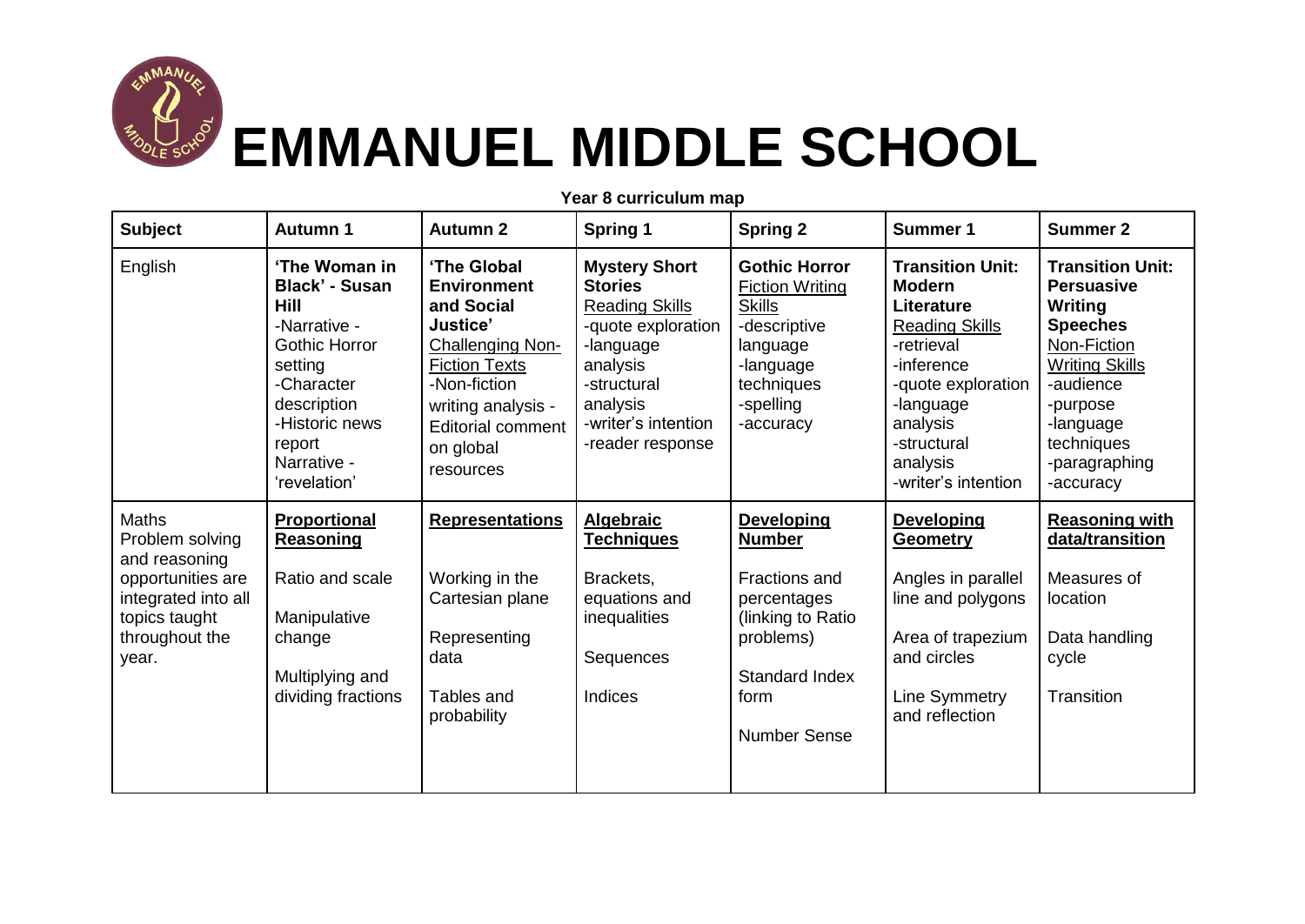

## **EMMANUEL MIDDLE SCHOOL**

| <b>Subject</b>                                                                                                                    | <b>Autumn 1</b>                                                                                                                                                                                  | <b>Autumn 2</b>                                                                                                                                                                                            | <b>Spring 1</b>                                                                                                                                                                      | <b>Spring 2</b>                                                                                                                                              | <b>Summer 1</b>                                                                                                                                                                                              | <b>Summer 2</b>                                                                                                                                                                                      |
|-----------------------------------------------------------------------------------------------------------------------------------|--------------------------------------------------------------------------------------------------------------------------------------------------------------------------------------------------|------------------------------------------------------------------------------------------------------------------------------------------------------------------------------------------------------------|--------------------------------------------------------------------------------------------------------------------------------------------------------------------------------------|--------------------------------------------------------------------------------------------------------------------------------------------------------------|--------------------------------------------------------------------------------------------------------------------------------------------------------------------------------------------------------------|------------------------------------------------------------------------------------------------------------------------------------------------------------------------------------------------------|
| English                                                                                                                           | 'The Woman in<br><b>Black' - Susan</b><br><b>Hill</b><br>-Narrative -<br><b>Gothic Horror</b><br>setting<br>-Character<br>description<br>-Historic news<br>report<br>Narrative -<br>'revelation' | 'The Global<br><b>Environment</b><br>and Social<br>Justice'<br><b>Challenging Non-</b><br><b>Fiction Texts</b><br>-Non-fiction<br>writing analysis -<br><b>Editorial comment</b><br>on global<br>resources | <b>Mystery Short</b><br><b>Stories</b><br><b>Reading Skills</b><br>-quote exploration<br>-language<br>analysis<br>-structural<br>analysis<br>-writer's intention<br>-reader response | <b>Gothic Horror</b><br><b>Fiction Writing</b><br><b>Skills</b><br>-descriptive<br>language<br>-language<br>techniques<br>-spelling<br>-accuracy             | <b>Transition Unit:</b><br><b>Modern</b><br>Literature<br><b>Reading Skills</b><br>-retrieval<br>-inference<br>-quote exploration<br>-language<br>analysis<br>-structural<br>analysis<br>-writer's intention | <b>Transition Unit:</b><br><b>Persuasive</b><br>Writing<br><b>Speeches</b><br>Non-Fiction<br><b>Writing Skills</b><br>-audience<br>-purpose<br>-language<br>techniques<br>-paragraphing<br>-accuracy |
| Maths<br>Problem solving<br>and reasoning<br>opportunities are<br>integrated into all<br>topics taught<br>throughout the<br>year. | Proportional<br><b>Reasoning</b><br>Ratio and scale<br>Manipulative<br>change<br>Multiplying and<br>dividing fractions                                                                           | <b>Representations</b><br>Working in the<br>Cartesian plane<br>Representing<br>data<br>Tables and<br>probability                                                                                           | <b>Algebraic</b><br><u>Techniques</u><br>Brackets,<br>equations and<br>inequalities<br>Sequences<br>Indices                                                                          | <b>Developing</b><br><b>Number</b><br>Fractions and<br>percentages<br>(linking to Ratio<br>problems)<br><b>Standard Index</b><br>form<br><b>Number Sense</b> | <b>Developing</b><br><b>Geometry</b><br>Angles in parallel<br>line and polygons<br>Area of trapezium<br>and circles<br>Line Symmetry<br>and reflection                                                       | <b>Reasoning with</b><br>data/transition<br>Measures of<br>location<br>Data handling<br>cycle<br>Transition                                                                                          |

**Year 8 curriculum map**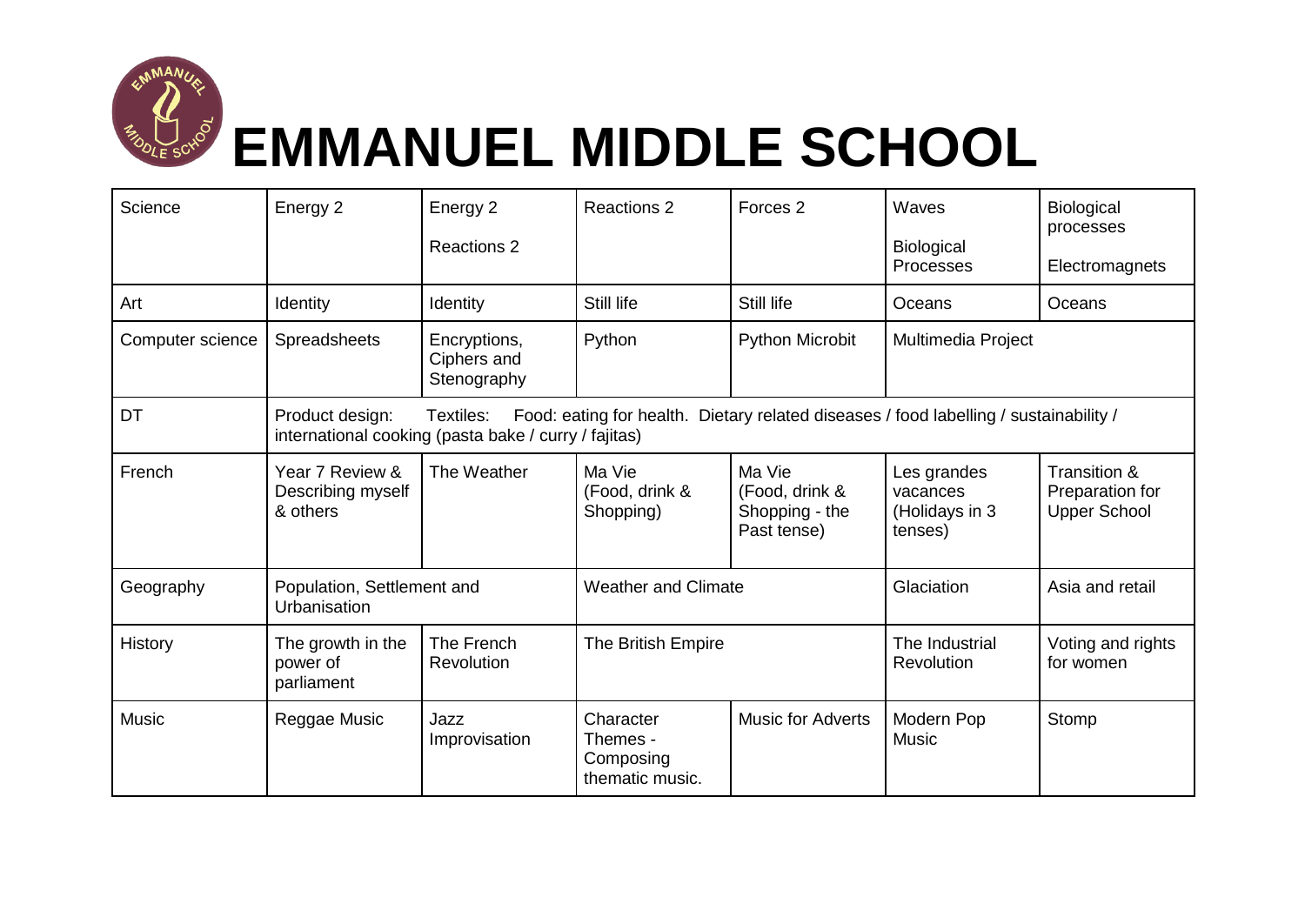

## **EMMANUEL MIDDLE SCHOOL**

| Science          | Energy 2                                                                                                                                                                      | Energy 2<br><b>Reactions 2</b>             | <b>Reactions 2</b>                                    | Forces <sub>2</sub>                                       | Waves<br><b>Biological</b><br>Processes              | Biological<br>processes<br>Electromagnets              |  |
|------------------|-------------------------------------------------------------------------------------------------------------------------------------------------------------------------------|--------------------------------------------|-------------------------------------------------------|-----------------------------------------------------------|------------------------------------------------------|--------------------------------------------------------|--|
| Art              | Identity                                                                                                                                                                      | Identity                                   | Still life                                            | Still life                                                | Oceans                                               | Oceans                                                 |  |
| Computer science | Spreadsheets                                                                                                                                                                  | Encryptions,<br>Ciphers and<br>Stenography | Python                                                | <b>Python Microbit</b>                                    | Multimedia Project                                   |                                                        |  |
| DT               | Product design:<br>Textiles:<br>Food: eating for health. Dietary related diseases / food labelling / sustainability /<br>international cooking (pasta bake / curry / fajitas) |                                            |                                                       |                                                           |                                                      |                                                        |  |
| French           | Year 7 Review &<br>Describing myself<br>& others                                                                                                                              | The Weather                                | Ma Vie<br>(Food, drink &<br>Shopping)                 | Ma Vie<br>(Food, drink &<br>Shopping - the<br>Past tense) | Les grandes<br>vacances<br>(Holidays in 3<br>tenses) | Transition &<br>Preparation for<br><b>Upper School</b> |  |
| Geography        | Population, Settlement and<br>Urbanisation                                                                                                                                    |                                            | <b>Weather and Climate</b>                            |                                                           | Glaciation                                           | Asia and retail                                        |  |
| History          | The growth in the<br>power of<br>parliament                                                                                                                                   | The French<br>Revolution                   | The British Empire                                    |                                                           | The Industrial<br>Revolution                         | Voting and rights<br>for women                         |  |
| <b>Music</b>     | Reggae Music                                                                                                                                                                  | Jazz<br>Improvisation                      | Character<br>Themes -<br>Composing<br>thematic music. | <b>Music for Adverts</b>                                  | Modern Pop<br><b>Music</b>                           | Stomp                                                  |  |